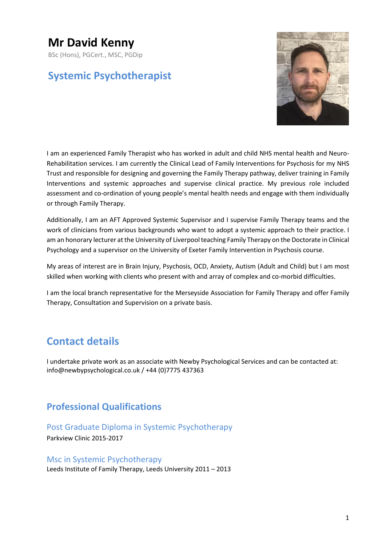# **Mr David Kenny**

BSc (Hons), PGCert., MSC, PGDip

# **Systemic Psychotherapist**



I am an experienced Family Therapist who has worked in adult and child NHS mental health and Neuro-Rehabilitation services. I am currently the Clinical Lead of Family Interventions for Psychosis for my NHS Trust and responsible for designing and governing the Family Therapy pathway, deliver training in Family Interventions and systemic approaches and supervise clinical practice. My previous role included assessment and co-ordination of young people's mental health needs and engage with them individually or through Family Therapy.

Additionally, I am an AFT Approved Systemic Supervisor and I supervise Family Therapy teams and the work of clinicians from various backgrounds who want to adopt a systemic approach to their practice. I am an honorary lecturer at the University of Liverpool teaching Family Therapy on the Doctorate in Clinical Psychology and a supervisor on the University of Exeter Family Intervention in Psychosis course.

My areas of interest are in Brain Injury, Psychosis, OCD, Anxiety, Autism (Adult and Child) but I am most skilled when working with clients who present with and array of complex and co-morbid difficulties.

I am the local branch representative for the Merseyside Association for Family Therapy and offer Family Therapy, Consultation and Supervision on a private basis.

# **Contact details**

I undertake private work as an associate with Newby Psychological Services and can be contacted at: info@newbypsychological.co.uk / +44 (0)7775 437363

# **Professional Qualifications**

# Post Graduate Diploma in Systemic Psychotherapy

Parkview Clinic 2015-2017

### Msc in Systemic Psychotherapy

Leeds Institute of Family Therapy, Leeds University 2011 – 2013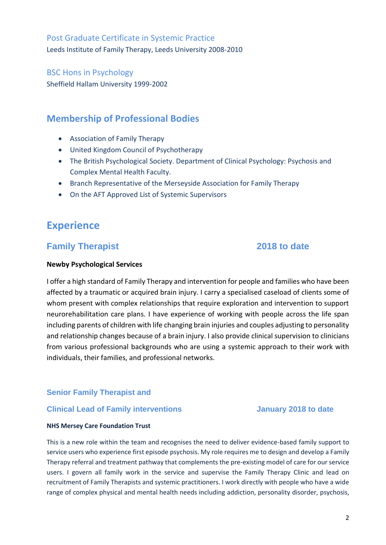Post Graduate Certificate in Systemic Practice Leeds Institute of Family Therapy, Leeds University 2008-2010

## BSC Hons in Psychology

Sheffield Hallam University 1999-2002

# **Membership of Professional Bodies**

- Association of Family Therapy
- United Kingdom Council of Psychotherapy
- The British Psychological Society. Department of Clinical Psychology: Psychosis and Complex Mental Health Faculty.
- Branch Representative of the Merseyside Association for Family Therapy
- On the AFT Approved List of Systemic Supervisors

# **Experience**

# **Family Therapist 2018 to date**

#### **Newby Psychological Services**

I offer a high standard of Family Therapy and intervention for people and families who have been affected by a traumatic or acquired brain injury. I carry a specialised caseload of clients some of whom present with complex relationships that require exploration and intervention to support neurorehabilitation care plans. I have experience of working with people across the life span including parents of children with life changing brain injuries and couples adjusting to personality and relationship changes because of a brain injury. I also provide clinical supervision to clinicians from various professional backgrounds who are using a systemic approach to their work with individuals, their families, and professional networks.

### **Senior Family Therapist and**

### **Clinical Lead of Family interventions January 2018 to date**

#### **NHS Mersey Care Foundation Trust**

This is a new role within the team and recognises the need to deliver evidence-based family support to service users who experience first episode psychosis. My role requires me to design and develop a Family Therapy referral and treatment pathway that complements the pre-existing model of care for our service users. I govern all family work in the service and supervise the Family Therapy Clinic and lead on recruitment of Family Therapists and systemic practitioners. I work directly with people who have a wide range of complex physical and mental health needs including addiction, personality disorder, psychosis,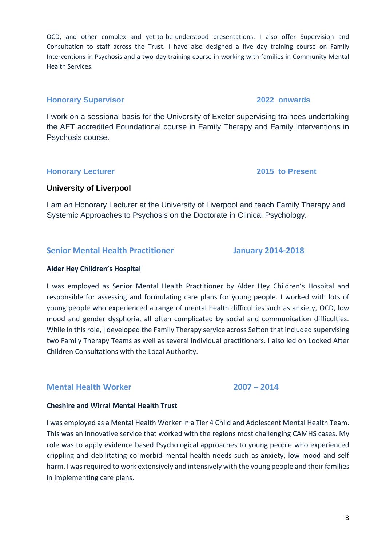OCD, and other complex and yet-to-be-understood presentations. I also offer Supervision and Consultation to staff across the Trust. I have also designed a five day training course on Family Interventions in Psychosis and a two-day training course in working with families in Community Mental Health Services.

## **Honorary Supervisor 2022 onwards**

I work on a sessional basis for the University of Exeter supervising trainees undertaking the AFT accredited Foundational course in Family Therapy and Family Interventions in Psychosis course.

## **Honorary Lecturer 2015 to Present**

## **University of Liverpool**

I am an Honorary Lecturer at the University of Liverpool and teach Family Therapy and Systemic Approaches to Psychosis on the Doctorate in Clinical Psychology.

## **Senior Mental Health Practitioner January 2014-2018**

### **Alder Hey Children's Hospital**

I was employed as Senior Mental Health Practitioner by Alder Hey Children's Hospital and responsible for assessing and formulating care plans for young people. I worked with lots of young people who experienced a range of mental health difficulties such as anxiety, OCD, low mood and gender dysphoria, all often complicated by social and communication difficulties. While in this role, I developed the Family Therapy service across Sefton that included supervising two Family Therapy Teams as well as several individual practitioners. I also led on Looked After Children Consultations with the Local Authority.

# **Mental Health Worker 2007 – 2014**

## **Cheshire and Wirral Mental Health Trust**

I was employed as a Mental Health Worker in a Tier 4 Child and Adolescent Mental Health Team. This was an innovative service that worked with the regions most challenging CAMHS cases. My role was to apply evidence based Psychological approaches to young people who experienced crippling and debilitating co-morbid mental health needs such as anxiety, low mood and self harm. I was required to work extensively and intensively with the young people and their families in implementing care plans.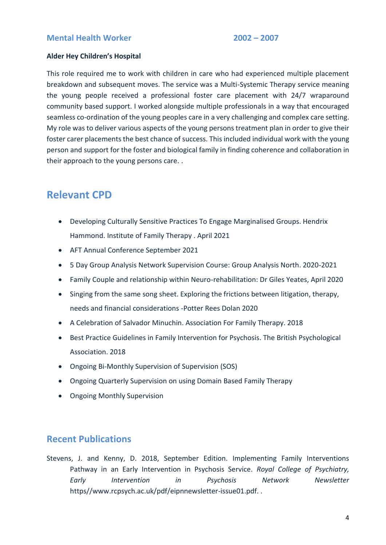### **Alder Hey Children's Hospital**

This role required me to work with children in care who had experienced multiple placement breakdown and subsequent moves. The service was a Multi-Systemic Therapy service meaning the young people received a professional foster care placement with 24/7 wraparound community based support. I worked alongside multiple professionals in a way that encouraged seamless co-ordination of the young peoples care in a very challenging and complex care setting. My role was to deliver various aspects of the young persons treatment plan in order to give their foster carer placements the best chance of success. This included individual work with the young person and support for the foster and biological family in finding coherence and collaboration in their approach to the young persons care. .

# **Relevant CPD**

- Developing Culturally Sensitive Practices To Engage Marginalised Groups. Hendrix Hammond. Institute of Family Therapy . April 2021
- AFT Annual Conference September 2021
- 5 Day Group Analysis Network Supervision Course: Group Analysis North. 2020-2021
- Family Couple and relationship within Neuro-rehabilitation: Dr Giles Yeates, April 2020
- Singing from the same song sheet. Exploring the frictions between litigation, therapy, needs and financial considerations -Potter Rees Dolan 2020
- A Celebration of Salvador Minuchin. Association For Family Therapy. 2018
- Best Practice Guidelines in Family Intervention for Psychosis. The British Psychological Association. 2018
- Ongoing Bi-Monthly Supervision of Supervision (SOS)
- Ongoing Quarterly Supervision on using Domain Based Family Therapy
- Ongoing Monthly Supervision

# **Recent Publications**

Stevens, J. and Kenny, D. 2018, September Edition. Implementing Family Interventions Pathway in an Early Intervention in Psychosis Service. *Royal College of Psychiatry, Early Intervention in Psychosis Network Newsletter* https//www.rcpsych.ac.uk/pdf/eipnnewsletter-issue01.pdf. .